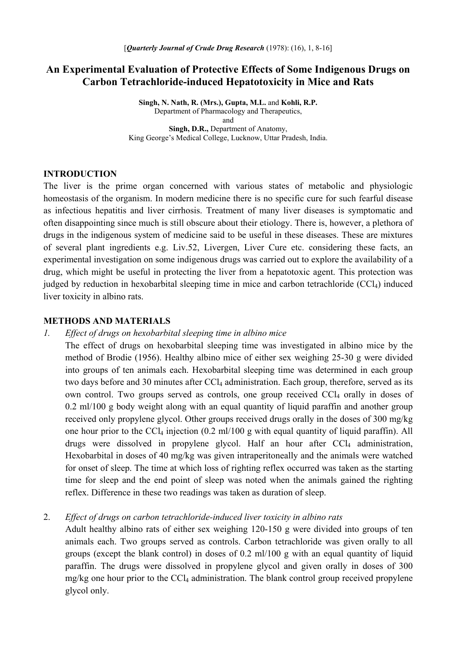# **An Experimental Evaluation of Protective Effects of Some Indigenous Drugs on Carbon Tetrachloride-induced Hepatotoxicity in Mice and Rats**

**Singh, N. Nath, R. (Mrs.), Gupta, M.L.** and **Kohli, R.P.**  Department of Pharmacology and Therapeutics, and **Singh, D.R.,** Department of Anatomy, King George's Medical College, Lucknow, Uttar Pradesh, India.

#### **INTRODUCTION**

The liver is the prime organ concerned with various states of metabolic and physiologic homeostasis of the organism. In modern medicine there is no specific cure for such fearful disease as infectious hepatitis and liver cirrhosis. Treatment of many liver diseases is symptomatic and often disappointing since much is still obscure about their etiology. There is, however, a plethora of drugs in the indigenous system of medicine said to be useful in these diseases. These are mixtures of several plant ingredients e.g. Liv.52, Livergen, Liver Cure etc. considering these facts, an experimental investigation on some indigenous drugs was carried out to explore the availability of a drug, which might be useful in protecting the liver from a hepatotoxic agent. This protection was judged by reduction in hexobarbital sleeping time in mice and carbon tetrachloride (CCl<sub>4</sub>) induced liver toxicity in albino rats.

#### **METHODS AND MATERIALS**

### *1. Effect of drugs on hexobarbital sleeping time in albino mice*

The effect of drugs on hexobarbital sleeping time was investigated in albino mice by the method of Brodie (1956). Healthy albino mice of either sex weighing 25-30 g were divided into groups of ten animals each. Hexobarbital sleeping time was determined in each group two days before and 30 minutes after  $CCL_4$  administration. Each group, therefore, served as its own control. Two groups served as controls, one group received CCl<sub>4</sub> orally in doses of 0.2 ml/100 g body weight along with an equal quantity of liquid paraffin and another group received only propylene glycol. Other groups received drugs orally in the doses of 300 mg/kg one hour prior to the CCl<sub>4</sub> injection  $(0.2 \text{ ml}/100 \text{ g}$  with equal quantity of liquid paraffin). All drugs were dissolved in propylene glycol. Half an hour after  $CCl<sub>4</sub>$  administration, Hexobarbital in doses of 40 mg/kg was given intraperitoneally and the animals were watched for onset of sleep. The time at which loss of righting reflex occurred was taken as the starting time for sleep and the end point of sleep was noted when the animals gained the righting reflex. Difference in these two readings was taken as duration of sleep.

## 2. *Effect of drugs on carbon tetrachloride-induced liver toxicity in albino rats*

Adult healthy albino rats of either sex weighing 120-150 g were divided into groups of ten animals each. Two groups served as controls. Carbon tetrachloride was given orally to all groups (except the blank control) in doses of 0.2 ml/100 g with an equal quantity of liquid paraffin. The drugs were dissolved in propylene glycol and given orally in doses of 300  $mg/kg$  one hour prior to the CCl<sub>4</sub> administration. The blank control group received propylene glycol only.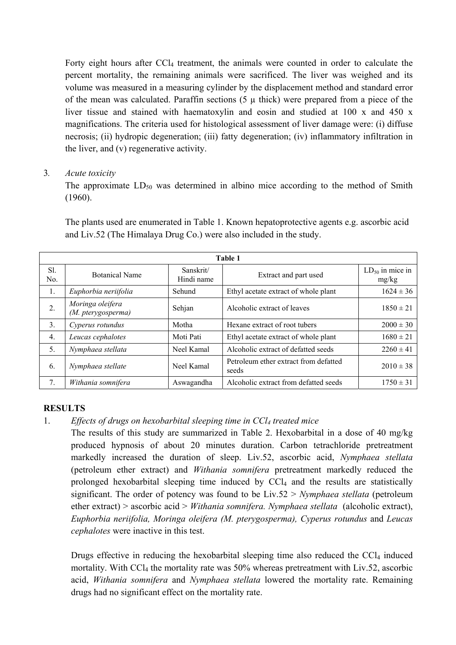Forty eight hours after CCl<sub>4</sub> treatment, the animals were counted in order to calculate the percent mortality, the remaining animals were sacrificed. The liver was weighed and its volume was measured in a measuring cylinder by the displacement method and standard error of the mean was calculated. Paraffin sections  $(5 \mu)$  thick) were prepared from a piece of the liver tissue and stained with haematoxylin and eosin and studied at 100 x and 450 x magnifications. The criteria used for histological assessment of liver damage were: (i) diffuse necrosis; (ii) hydropic degeneration; (iii) fatty degeneration; (iv) inflammatory infiltration in the liver, and (v) regenerative activity.

# 3*. Acute toxicity*

The approximate  $LD_{50}$  was determined in albino mice according to the method of Smith (1960).

The plants used are enumerated in Table 1. Known hepatoprotective agents e.g. ascorbic acid and Liv.52 (The Himalaya Drug Co.) were also included in the study.

| Table 1    |                                        |                         |                                                |                               |  |  |
|------------|----------------------------------------|-------------------------|------------------------------------------------|-------------------------------|--|--|
| Sl.<br>No. | <b>Botanical Name</b>                  | Sanskrit/<br>Hindi name | Extract and part used                          | $LD_{50}$ in mice in<br>mg/kg |  |  |
| 1.         | Euphorbia neriifolia                   | Sehund                  | Ethyl acetate extract of whole plant           | $1624 \pm 36$                 |  |  |
| 2.         | Moringa oleifera<br>(M. pterygosperma) | Sehjan                  | Alcoholic extract of leaves                    | $1850 \pm 21$                 |  |  |
| 3.         | Cyperus rotundus                       | Motha                   | Hexane extract of root tubers                  | $2000 \pm 30$                 |  |  |
| 4.         | Leucas cephalotes                      | Moti Pati               | Ethyl acetate extract of whole plant           | $1680 \pm 21$                 |  |  |
| 5.         | Nymphaea stellata                      | Neel Kamal              | Alcoholic extract of defatted seeds            | $2260 \pm 41$                 |  |  |
| 6.         | Nymphaea stellate                      | Neel Kamal              | Petroleum ether extract from defatted<br>seeds | $2010 \pm 38$                 |  |  |
| 7.         | Withania somnifera                     | Aswagandha              | Alcoholic extract from defatted seeds          | $1750 \pm 31$                 |  |  |

# **RESULTS**

# 1. *Effects of drugs on hexobarbital sleeping time in CCl4 treated mice*

The results of this study are summarized in Table 2. Hexobarbital in a dose of 40 mg/kg produced hypnosis of about 20 minutes duration. Carbon tetrachloride pretreatment markedly increased the duration of sleep. Liv.52, ascorbic acid, *Nymphaea stellata*  (petroleum ether extract) and *Withania somnifera* pretreatment markedly reduced the prolonged hexobarbital sleeping time induced by  $CCl<sub>4</sub>$  and the results are statistically significant. The order of potency was found to be Liv.52 > *Nymphaea stellata* (petroleum ether extract) > ascorbic acid > *Withania somnifera. Nymphaea stellata* (alcoholic extract), *Euphorbia neriifolia, Moringa oleifera (M. pterygosperma), Cyperus rotundus* and *Leucas cephalotes* were inactive in this test.

Drugs effective in reducing the hexobarbital sleeping time also reduced the  $CCI<sub>4</sub>$  induced mortality. With CCl<sub>4</sub> the mortality rate was 50% whereas pretreatment with Liv.52, ascorbic acid, *Withania somnifera* and *Nymphaea stellata* lowered the mortality rate. Remaining drugs had no significant effect on the mortality rate.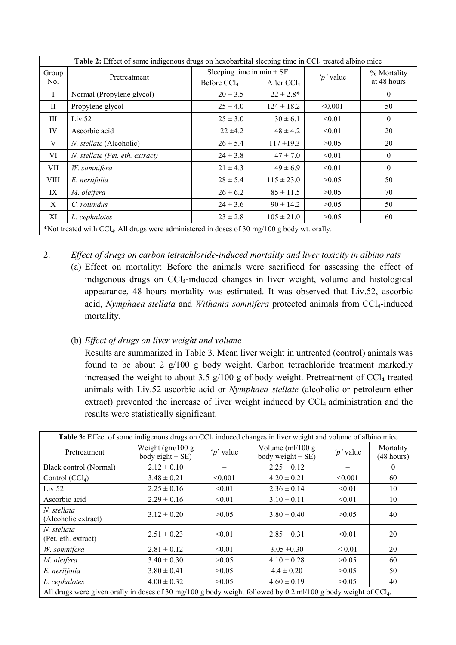| <b>Table 2:</b> Effect of some indigenous drugs on hexobarbital sleeping time in CCl <sub>4</sub> treated albino mice |                                 |                               |                        |           |                |  |
|-----------------------------------------------------------------------------------------------------------------------|---------------------------------|-------------------------------|------------------------|-----------|----------------|--|
| Group                                                                                                                 | Pretreatment                    | Sleeping time in min $\pm$ SE |                        | 'p' value | % Mortality    |  |
| No.                                                                                                                   |                                 | Before $CCl4$                 | After CCl <sub>4</sub> |           | at 48 hours    |  |
| $\mathbf{I}$                                                                                                          | Normal (Propylene glycol)       | $20 \pm 3.5$                  | $22 \pm 2.8^*$         |           | $\theta$       |  |
| $\mathbf{H}$                                                                                                          | Propylene glycol                | $25 \pm 4.0$                  | $124 \pm 18.2$         | < 0.001   | 50             |  |
| Ш                                                                                                                     | Liv.52                          | $25 \pm 3.0$                  | $30 \pm 6.1$           | < 0.01    | $\mathbf{0}$   |  |
| IV                                                                                                                    | Ascorbic acid                   | $22 \pm 4.2$                  | $48 \pm 4.2$           | < 0.01    | 20             |  |
| V                                                                                                                     | N. stellate (Alcoholic)         | $26 \pm 5.4$                  | $117 \pm 19.3$         | >0.05     | 20             |  |
| VI                                                                                                                    | N. stellate (Pet. eth. extract) | $24 \pm 3.8$                  | $47 \pm 7.0$           | < 0.01    | $\theta$       |  |
| VII                                                                                                                   | W. somnifera                    | $21 \pm 4.3$                  | $49 \pm 6.9$           | < 0.01    | $\overline{0}$ |  |
| VIII                                                                                                                  | E. neriifolia                   | $28 \pm 5.4$                  | $115 \pm 23.0$         | >0.05     | 50             |  |
| IX                                                                                                                    | M. oleifera                     | $26 \pm 6.2$                  | $85 \pm 11.5$          | >0.05     | 70             |  |
| X                                                                                                                     | C. rotundus                     | $24 \pm 3.6$                  | $90 \pm 14.2$          | >0.05     | 50             |  |
| XI                                                                                                                    | L. cephalotes                   | $23 \pm 2.8$                  | $105 \pm 21.0$         | >0.05     | 60             |  |
| *Not treated with CCl <sub>4</sub> . All drugs were administered in doses of 30 mg/100 g body wt. orally.             |                                 |                               |                        |           |                |  |

2. *Effect of drugs on carbon tetrachloride-induced mortality and liver toxicity in albino rats* (a) Effect on mortality: Before the animals were sacrificed for assessing the effect of indigenous drugs on CCl4-induced changes in liver weight, volume and histological appearance, 48 hours mortality was estimated. It was observed that Liv.52, ascorbic acid, *Nymphaea stellata* and *Withania somnifera* protected animals from CCl<sub>4</sub>-induced mortality.

# (b) *Effect of drugs on liver weight and volume*

Results are summarized in Table 3. Mean liver weight in untreated (control) animals was found to be about 2 g/100 g body weight. Carbon tetrachloride treatment markedly increased the weight to about 3.5  $g/100$  g of body weight. Pretreatment of CCl<sub>4</sub>-treated animals with Liv.52 ascorbic acid or *Nymphaea stellate* (alcoholic or petroleum ether extract) prevented the increase of liver weight induced by CCl<sub>4</sub> administration and the results were statistically significant.

| Table 3: Effect of some indigenous drugs on CCl <sub>4</sub> induced changes in liver weight and volume of albino mice     |                                             |                |                                              |             |                         |  |
|----------------------------------------------------------------------------------------------------------------------------|---------------------------------------------|----------------|----------------------------------------------|-------------|-------------------------|--|
| Pretreatment                                                                                                               | Weight $(gm/100 g)$<br>body eight $\pm$ SE) | $\gamma$ value | Volume $(ml/100 g)$<br>body weight $\pm$ SE) | 'p' value   | Mortality<br>(48 hours) |  |
| Black control (Normal)                                                                                                     | $2.12 \pm 0.10$                             |                | $2.25 \pm 0.12$                              |             | $\theta$                |  |
| Control $(CCl4)$                                                                                                           | $3.48 \pm 0.21$                             | < 0.001        | $4.20 \pm 0.21$                              | < 0.001     | 60                      |  |
| Liv.52                                                                                                                     | $2.25 \pm 0.16$                             | < 0.01         | $2.36 \pm 0.14$                              | < 0.01      | 10                      |  |
| Ascorbic acid                                                                                                              | $2.29 \pm 0.16$                             | < 0.01         | $3.10 \pm 0.11$                              | < 0.01      | 10                      |  |
| N. stellata<br>(Alcoholic extract)                                                                                         | $3.12 \pm 0.20$                             | >0.05          | $3.80 \pm 0.40$                              | >0.05       | 40                      |  |
| N. stellata<br>(Pet. eth. extract)                                                                                         | $2.51 \pm 0.23$                             | < 0.01         | $2.85 \pm 0.31$                              | < 0.01      | 20                      |  |
| W. somnifera                                                                                                               | $2.81 \pm 0.12$                             | < 0.01         | $3.05 \pm 0.30$                              | ${}_{0.01}$ | 20                      |  |
| M. oleifera                                                                                                                | $3.40 \pm 0.30$                             | >0.05          | $4.10 \pm 0.28$                              | >0.05       | 60                      |  |
| E. neriifolia                                                                                                              | $3.80 \pm 0.41$                             | >0.05          | $4.4 \pm 0.20$                               | >0.05       | 50                      |  |
| L. cephalotes                                                                                                              | $4.00 \pm 0.32$                             | >0.05          | $4.60 \pm 0.19$                              | >0.05       | 40                      |  |
| All drugs were given orally in doses of 30 mg/100 g body weight followed by 0.2 ml/100 g body weight of CCl <sub>4</sub> . |                                             |                |                                              |             |                         |  |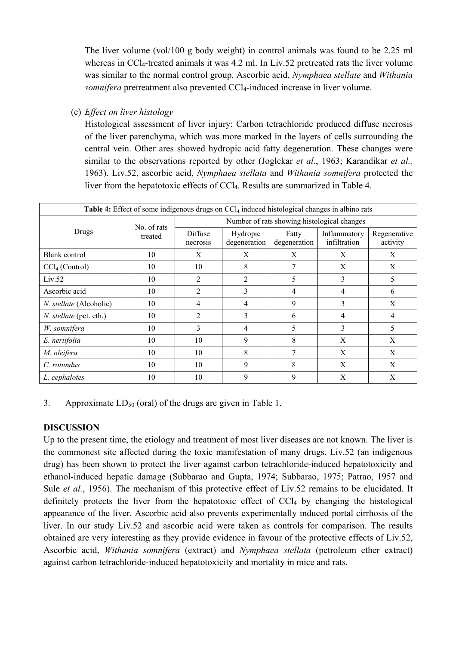The liver volume (vol/100 g body weight) in control animals was found to be 2.25 ml whereas in CCl<sub>4</sub>-treated animals it was 4.2 ml. In Liv.52 pretreated rats the liver volume was similar to the normal control group. Ascorbic acid, *Nymphaea stellate* and *Withania somnifera* pretreatment also prevented CCl<sub>4</sub>-induced increase in liver volume.

(c) *Effect on liver histology*

Histological assessment of liver injury: Carbon tetrachloride produced diffuse necrosis of the liver parenchyma, which was more marked in the layers of cells surrounding the central vein. Other ares showed hydropic acid fatty degeneration. These changes were similar to the observations reported by other (Joglekar *et al.*, 1963; Karandikar *et al.,* 1963). Liv.52, ascorbic acid, *Nymphaea stellata* and *Withania somnifera* protected the liver from the hepatotoxic effects of CCl<sub>4</sub>. Results are summarized in Table 4.

| Table 4: Effect of some indigenous drugs on CCl <sub>4</sub> induced histological changes in albino rats |                        |                                             |                          |                       |                              |                          |  |
|----------------------------------------------------------------------------------------------------------|------------------------|---------------------------------------------|--------------------------|-----------------------|------------------------------|--------------------------|--|
|                                                                                                          | No. of rats<br>treated | Number of rats showing histological changes |                          |                       |                              |                          |  |
| Drugs                                                                                                    |                        | <b>Diffuse</b><br>necrosis                  | Hydropic<br>degeneration | Fatty<br>degeneration | Inflammatory<br>infiltration | Regenerative<br>activity |  |
| Blank control                                                                                            | 10                     | X                                           | X                        | X                     | X                            | X                        |  |
| CCl <sub>4</sub> (Control)                                                                               | 10                     | 10                                          | 8                        | 7                     | X                            | X                        |  |
| Liv.52                                                                                                   | 10                     | 2                                           | 2                        | 5                     | 3                            | 5                        |  |
| Ascorbic acid                                                                                            | 10                     | 2                                           | 3                        | 4                     | 4                            | 6                        |  |
| N. stellate (Alcoholic)                                                                                  | 10                     | 4                                           | 4                        | 9                     | 3                            | X                        |  |
| N. stellate (pet. eth.)                                                                                  | 10                     | $\overline{2}$                              | 3                        | 6                     | 4                            | 4                        |  |
| W. somnifera                                                                                             | 10                     | 3                                           | 4                        | 5                     | 3                            | 5                        |  |
| E. neriifolia                                                                                            | 10                     | 10                                          | 9                        | 8                     | X                            | X                        |  |
| M. oleifera                                                                                              | 10                     | 10                                          | 8                        |                       | X                            | X                        |  |
| C. rotundus                                                                                              | 10                     | 10                                          | 9                        | 8                     | X                            | X                        |  |
| L. cephalotes                                                                                            | 10                     | 10                                          | 9                        | 9                     | X                            | X                        |  |

# 3. Approximate  $LD_{50}$  (oral) of the drugs are given in Table 1.

# **DISCUSSION**

Up to the present time, the etiology and treatment of most liver diseases are not known. The liver is the commonest site affected during the toxic manifestation of many drugs. Liv.52 (an indigenous drug) has been shown to protect the liver against carbon tetrachloride-induced hepatotoxicity and ethanol-induced hepatic damage (Subbarao and Gupta, 1974; Subbarao, 1975; Patrao, 1957 and Sule *et al.*, 1956). The mechanism of this protective effect of Liv.52 remains to be elucidated. It definitely protects the liver from the hepatotoxic effect of  $\text{CCl}_4$  by changing the histological appearance of the liver. Ascorbic acid also prevents experimentally induced portal cirrhosis of the liver. In our study Liv.52 and ascorbic acid were taken as controls for comparison. The results obtained are very interesting as they provide evidence in favour of the protective effects of Liv.52, Ascorbic acid, *Withania somnifera* (extract) and *Nymphaea stellata* (petroleum ether extract) against carbon tetrachloride-induced hepatotoxicity and mortality in mice and rats.